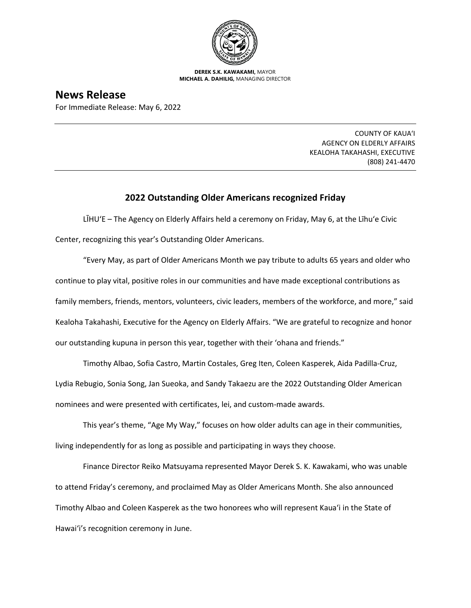

**DEREK S.K. KAWAKAMI,** MAYOR **MICHAEL A. DAHILIG,** MANAGING DIRECTOR

**News Release** For Immediate Release: May 6, 2022

> COUNTY OF KAUA'I AGENCY ON ELDERLY AFFAIRS KEALOHA TAKAHASHI, EXECUTIVE (808) 241-4470

## **2022 Outstanding Older Americans recognized Friday**

LĪHU'E – The Agency on Elderly Affairs held a ceremony on Friday, May 6, at the Līhu'e Civic Center, recognizing this year's Outstanding Older Americans.

"Every May, as part of Older Americans Month we pay tribute to adults 65 years and older who continue to play vital, positive roles in our communities and have made exceptional contributions as family members, friends, mentors, volunteers, civic leaders, members of the workforce, and more," said Kealoha Takahashi, Executive for the Agency on Elderly Affairs. "We are grateful to recognize and honor our outstanding kupuna in person this year, together with their 'ohana and friends."

Timothy Albao, Sofia Castro, Martin Costales, Greg Iten, Coleen Kasperek, Aida Padilla-Cruz, Lydia Rebugio, Sonia Song, Jan Sueoka, and Sandy Takaezu are the 2022 Outstanding Older American nominees and were presented with certificates, lei, and custom-made awards.

This year's theme, "Age My Way," focuses on how older adults can age in their communities, living independently for as long as possible and participating in ways they choose.

Finance Director Reiko Matsuyama represented Mayor Derek S. K. Kawakami, who was unable to attend Friday's ceremony, and proclaimed May as Older Americans Month. She also announced Timothy Albao and Coleen Kasperek as the two honorees who will represent Kaua'i in the State of Hawai'i's recognition ceremony in June.